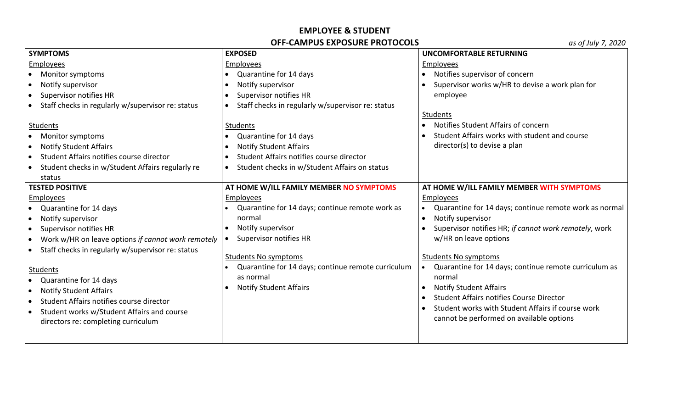## **EMPLOYEE & STUDENT OFF-CAMPUS EXPOSURE PROTOCOLS**

| <b>SYMPTOMS</b>                                                 | <b>EXPOSED</b>                                                 | <b>UNCOMFORTABLE RETURNING</b>                                                                |
|-----------------------------------------------------------------|----------------------------------------------------------------|-----------------------------------------------------------------------------------------------|
| <b>Employees</b>                                                | Employees                                                      | Employees                                                                                     |
| Monitor symptoms                                                | Quarantine for 14 days<br>$\bullet$                            | Notifies supervisor of concern                                                                |
| Notify supervisor                                               | Notify supervisor                                              | Supervisor works w/HR to devise a work plan for                                               |
| Supervisor notifies HR<br>$\bullet$                             | Supervisor notifies HR                                         | employee                                                                                      |
| Staff checks in regularly w/supervisor re: status               | Staff checks in regularly w/supervisor re: status<br>$\bullet$ |                                                                                               |
|                                                                 |                                                                | Students                                                                                      |
| Students                                                        | Students                                                       | Notifies Student Affairs of concern                                                           |
| Monitor symptoms                                                | Quarantine for 14 days                                         | Student Affairs works with student and course                                                 |
| <b>Notify Student Affairs</b><br>$\bullet$                      | <b>Notify Student Affairs</b>                                  | director(s) to devise a plan                                                                  |
| Student Affairs notifies course director<br>$\bullet$           | Student Affairs notifies course director                       |                                                                                               |
| Student checks in w/Student Affairs regularly re                | Student checks in w/Student Affairs on status<br>$\bullet$     |                                                                                               |
| status                                                          |                                                                |                                                                                               |
| <b>TESTED POSITIVE</b>                                          | AT HOME W/ILL FAMILY MEMBER NO SYMPTOMS                        | AT HOME W/ILL FAMILY MEMBER WITH SYMPTOMS                                                     |
| <b>Employees</b>                                                | Employees                                                      | Employees                                                                                     |
| Quarantine for 14 days                                          | Quarantine for 14 days; continue remote work as                | Quarantine for 14 days; continue remote work as normal                                        |
| Notify supervisor<br>$\bullet$                                  | normal                                                         | Notify supervisor<br>$\bullet$                                                                |
| <b>Supervisor notifies HR</b><br>$\bullet$                      | Notify supervisor<br>$\bullet$                                 | Supervisor notifies HR; if cannot work remotely, work<br>$\bullet$                            |
| Work w/HR on leave options if cannot work remotely<br>$\bullet$ | Supervisor notifies HR                                         | w/HR on leave options                                                                         |
| Staff checks in regularly w/supervisor re: status               |                                                                |                                                                                               |
|                                                                 | <b>Students No symptoms</b>                                    | <b>Students No symptoms</b>                                                                   |
| Students                                                        | Quarantine for 14 days; continue remote curriculum             | Quarantine for 14 days; continue remote curriculum as                                         |
| Quarantine for 14 days                                          | as normal                                                      | normal                                                                                        |
| <b>Notify Student Affairs</b>                                   | <b>Notify Student Affairs</b><br>$\bullet$                     | <b>Notify Student Affairs</b><br>$\bullet$<br><b>Student Affairs notifies Course Director</b> |
| Student Affairs notifies course director<br>$\bullet$           |                                                                | Student works with Student Affairs if course work                                             |
| Student works w/Student Affairs and course<br>$\bullet$         |                                                                |                                                                                               |
| directors re: completing curriculum                             |                                                                | cannot be performed on available options                                                      |
|                                                                 |                                                                |                                                                                               |
|                                                                 |                                                                |                                                                                               |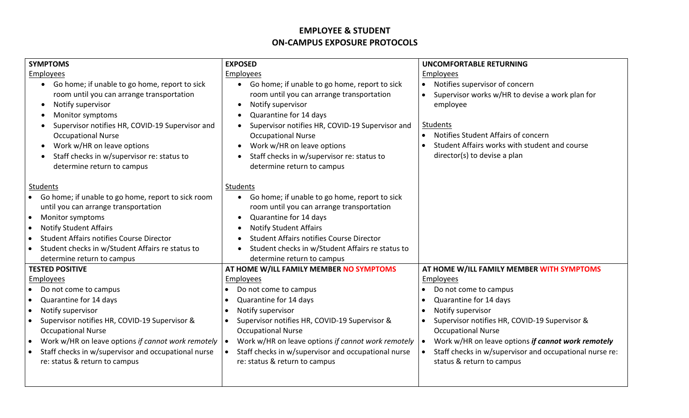## **EMPLOYEE & STUDENT ON-CAMPUS EXPOSURE PROTOCOLS**

| <b>SYMPTOMS</b>                                                                                                                                                                                                                                                                                                                                      | <b>EXPOSED</b>                                                                                                                                                                                                                                                                                                                                                                                            | <b>UNCOMFORTABLE RETURNING</b>                                                                                                                                                                                                                                                                                                          |
|------------------------------------------------------------------------------------------------------------------------------------------------------------------------------------------------------------------------------------------------------------------------------------------------------------------------------------------------------|-----------------------------------------------------------------------------------------------------------------------------------------------------------------------------------------------------------------------------------------------------------------------------------------------------------------------------------------------------------------------------------------------------------|-----------------------------------------------------------------------------------------------------------------------------------------------------------------------------------------------------------------------------------------------------------------------------------------------------------------------------------------|
| Employees                                                                                                                                                                                                                                                                                                                                            | Employees                                                                                                                                                                                                                                                                                                                                                                                                 | Employees                                                                                                                                                                                                                                                                                                                               |
| Go home; if unable to go home, report to sick<br>$\bullet$<br>room until you can arrange transportation<br>Notify supervisor<br>Monitor symptoms<br>Supervisor notifies HR, COVID-19 Supervisor and<br><b>Occupational Nurse</b><br>Work w/HR on leave options<br>Staff checks in w/supervisor re: status to<br>determine return to campus           | Go home; if unable to go home, report to sick<br>$\bullet$<br>room until you can arrange transportation<br>Notify supervisor<br>$\bullet$<br>Quarantine for 14 days<br>$\bullet$<br>Supervisor notifies HR, COVID-19 Supervisor and<br>$\bullet$<br><b>Occupational Nurse</b><br>Work w/HR on leave options<br>$\bullet$<br>Staff checks in w/supervisor re: status to<br>٠<br>determine return to campus | Notifies supervisor of concern<br>Supervisor works w/HR to devise a work plan for<br>$\bullet$<br>employee<br>Students<br>Notifies Student Affairs of concern<br>Student Affairs works with student and course<br>director(s) to devise a plan                                                                                          |
| <b>Students</b><br>Go home; if unable to go home, report to sick room<br>until you can arrange transportation<br>Monitor symptoms<br>$\bullet$<br><b>Notify Student Affairs</b><br>$\bullet$<br><b>Student Affairs notifies Course Director</b><br>Student checks in w/Student Affairs re status to<br>determine return to campus                    | Students<br>• Go home; if unable to go home, report to sick<br>room until you can arrange transportation<br>Quarantine for 14 days<br>$\bullet$<br><b>Notify Student Affairs</b><br>$\bullet$<br><b>Student Affairs notifies Course Director</b><br>Student checks in w/Student Affairs re status to<br>$\bullet$<br>determine return to campus                                                           |                                                                                                                                                                                                                                                                                                                                         |
| <b>TESTED POSITIVE</b>                                                                                                                                                                                                                                                                                                                               | AT HOME W/ILL FAMILY MEMBER NO SYMPTOMS                                                                                                                                                                                                                                                                                                                                                                   | AT HOME W/ILL FAMILY MEMBER WITH SYMPTOMS                                                                                                                                                                                                                                                                                               |
| Employees<br>Do not come to campus<br>Quarantine for 14 days<br>$\bullet$<br>Notify supervisor<br>$\bullet$<br>Supervisor notifies HR, COVID-19 Supervisor &<br><b>Occupational Nurse</b><br>Work w/HR on leave options if cannot work remotely<br>$\bullet$<br>Staff checks in w/supervisor and occupational nurse<br>re: status & return to campus | Employees<br>Do not come to campus<br>$\bullet$<br>Quarantine for 14 days<br>Notify supervisor<br>Supervisor notifies HR, COVID-19 Supervisor &<br><b>Occupational Nurse</b><br>Work w/HR on leave options if cannot work remotely<br>Staff checks in w/supervisor and occupational nurse<br>re: status & return to campus                                                                                | Employees<br>Do not come to campus<br>$\bullet$<br>Quarantine for 14 days<br>Notify supervisor<br>$\bullet$<br>Supervisor notifies HR, COVID-19 Supervisor &<br><b>Occupational Nurse</b><br>Work w/HR on leave options if cannot work remotely<br>Staff checks in w/supervisor and occupational nurse re:<br>status & return to campus |